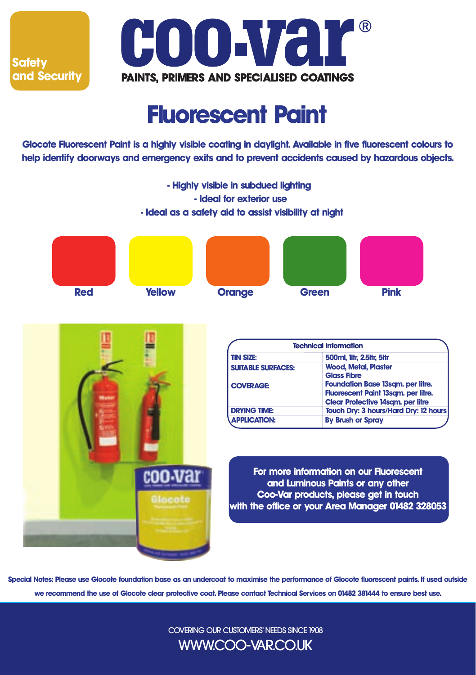



## **Fluorescent Paint**

**Glocote Fluorescent Paint is a highly visible coating in daylight. Available in five fluorescent colours to help identify doorways and emergency exits and to prevent accidents caused by hazardous objects.**



**Special Notes: Please use Glocote foundation base as an undercoat to maximise the performance of Glocote fluorescent paints. If used outside we recommend the use of Glocote clear protective coat. Please contact Technical Services on 01482 381444 to ensure best use.**

> COVERING OUR CUSTOMERS' NEEDS SINCE 1908 WWW.COO-VAR.CO.UK